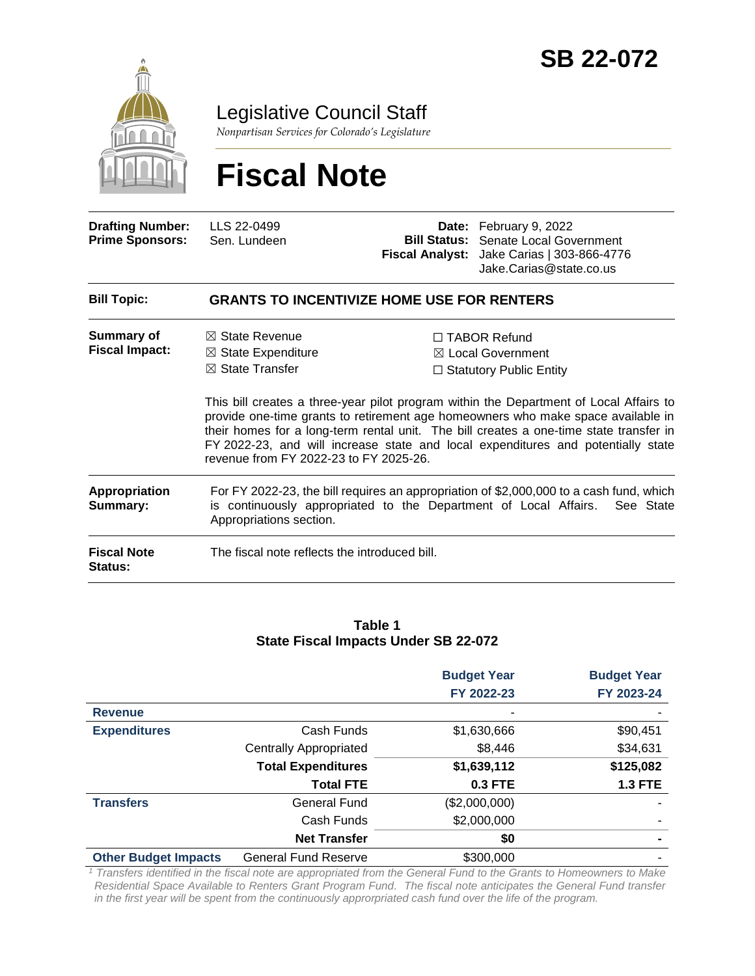

Legislative Council Staff

*Nonpartisan Services for Colorado's Legislature*

# **Fiscal Note**

| <b>Drafting Number:</b><br><b>Prime Sponsors:</b> | LLS 22-0499<br>Sen. Lundeen                                                                                                                                                                                                                                                                                                                                                                                                                               |  | Date: February 9, 2022<br><b>Bill Status:</b> Senate Local Government<br>Fiscal Analyst: Jake Carias   303-866-4776<br>Jake Carias@state.co.us |  |  |
|---------------------------------------------------|-----------------------------------------------------------------------------------------------------------------------------------------------------------------------------------------------------------------------------------------------------------------------------------------------------------------------------------------------------------------------------------------------------------------------------------------------------------|--|------------------------------------------------------------------------------------------------------------------------------------------------|--|--|
| <b>Bill Topic:</b>                                | <b>GRANTS TO INCENTIVIZE HOME USE FOR RENTERS</b>                                                                                                                                                                                                                                                                                                                                                                                                         |  |                                                                                                                                                |  |  |
| <b>Summary of</b><br><b>Fiscal Impact:</b>        | $\boxtimes$ State Revenue<br>$\Box$ TABOR Refund<br>$\boxtimes$ State Expenditure<br>$\boxtimes$ Local Government<br>$\boxtimes$ State Transfer<br>$\Box$ Statutory Public Entity<br>This bill creates a three-year pilot program within the Department of Local Affairs to<br>provide one-time grants to retirement age homeowners who make space available in<br>their homes for a long-term rental unit. The bill creates a one-time state transfer in |  |                                                                                                                                                |  |  |
|                                                   | FY 2022-23, and will increase state and local expenditures and potentially state<br>revenue from FY 2022-23 to FY 2025-26.                                                                                                                                                                                                                                                                                                                                |  |                                                                                                                                                |  |  |
| <b>Appropriation</b><br>Summary:                  | For FY 2022-23, the bill requires an appropriation of \$2,000,000 to a cash fund, which<br>is continuously appropriated to the Department of Local Affairs.<br>See State<br>Appropriations section.                                                                                                                                                                                                                                                       |  |                                                                                                                                                |  |  |
| <b>Fiscal Note</b><br><b>Status:</b>              | The fiscal note reflects the introduced bill.                                                                                                                                                                                                                                                                                                                                                                                                             |  |                                                                                                                                                |  |  |

#### **Table 1 State Fiscal Impacts Under SB 22-072**

|                             |                               | <b>Budget Year</b> | <b>Budget Year</b> |
|-----------------------------|-------------------------------|--------------------|--------------------|
|                             |                               | FY 2022-23         | FY 2023-24         |
| <b>Revenue</b>              |                               |                    |                    |
| <b>Expenditures</b>         | Cash Funds                    | \$1,630,666        | \$90,451           |
|                             | <b>Centrally Appropriated</b> | \$8,446            | \$34,631           |
|                             | <b>Total Expenditures</b>     | \$1,639,112        | \$125,082          |
|                             | <b>Total FTE</b>              | <b>0.3 FTE</b>     | <b>1.3 FTE</b>     |
| <b>Transfers</b>            | General Fund                  | (\$2,000,000)      |                    |
|                             | Cash Funds                    | \$2,000,000        |                    |
|                             | <b>Net Transfer</b>           | \$0                | ۰                  |
| <b>Other Budget Impacts</b> | <b>General Fund Reserve</b>   | \$300,000          |                    |

*<sup>1</sup> Transfers identified in the fiscal note are appropriated from the General Fund to the Grants to Homeowners to Make Residential Space Available to Renters Grant Program Fund. The fiscal note anticipates the General Fund transfer in the first year will be spent from the continuously approrpriated cash fund over the life of the program.*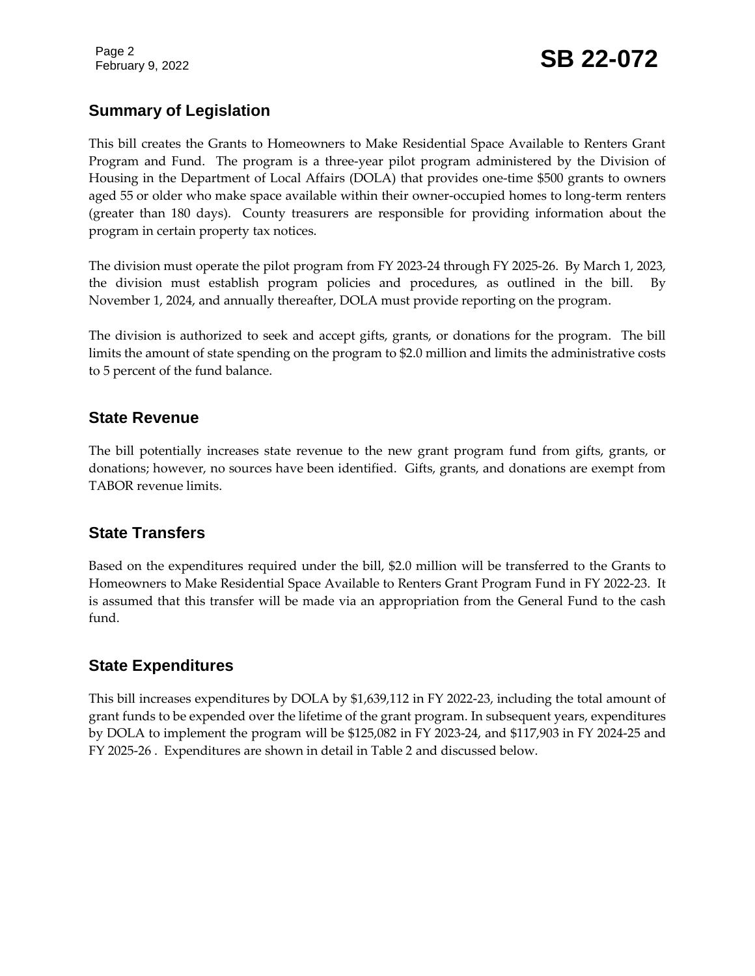Page 2

# February 9, 2022 **SB 22-072**

# **Summary of Legislation**

This bill creates the Grants to Homeowners to Make Residential Space Available to Renters Grant Program and Fund. The program is a three-year pilot program administered by the Division of Housing in the Department of Local Affairs (DOLA) that provides one-time \$500 grants to owners aged 55 or older who make space available within their owner-occupied homes to long-term renters (greater than 180 days). County treasurers are responsible for providing information about the program in certain property tax notices.

The division must operate the pilot program from FY 2023-24 through FY 2025-26. By March 1, 2023, the division must establish program policies and procedures, as outlined in the bill. By November 1, 2024, and annually thereafter, DOLA must provide reporting on the program.

The division is authorized to seek and accept gifts, grants, or donations for the program. The bill limits the amount of state spending on the program to \$2.0 million and limits the administrative costs to 5 percent of the fund balance.

### **State Revenue**

The bill potentially increases state revenue to the new grant program fund from gifts, grants, or donations; however, no sources have been identified. Gifts, grants, and donations are exempt from TABOR revenue limits.

# **State Transfers**

Based on the expenditures required under the bill, \$2.0 million will be transferred to the Grants to Homeowners to Make Residential Space Available to Renters Grant Program Fund in FY 2022-23. It is assumed that this transfer will be made via an appropriation from the General Fund to the cash fund.

# **State Expenditures**

This bill increases expenditures by DOLA by \$1,639,112 in FY 2022-23, including the total amount of grant funds to be expended over the lifetime of the grant program. In subsequent years, expenditures by DOLA to implement the program will be \$125,082 in FY 2023-24, and \$117,903 in FY 2024-25 and FY 2025-26 . Expenditures are shown in detail in Table 2 and discussed below.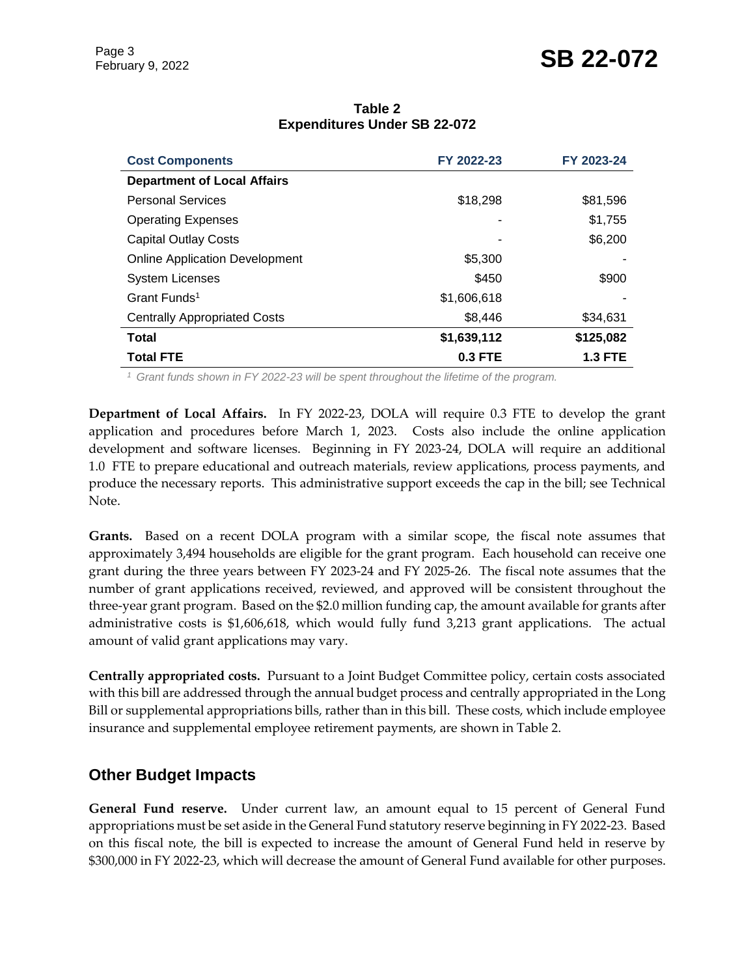# February 9, 2022 **SB 22-072**

| =^pv::w::w: vv v::wv: v= == v: =      |             |                |  |
|---------------------------------------|-------------|----------------|--|
| <b>Cost Components</b>                | FY 2022-23  | FY 2023-24     |  |
| <b>Department of Local Affairs</b>    |             |                |  |
| <b>Personal Services</b>              | \$18,298    | \$81,596       |  |
| <b>Operating Expenses</b>             |             | \$1,755        |  |
| <b>Capital Outlay Costs</b>           |             | \$6,200        |  |
| <b>Online Application Development</b> | \$5,300     |                |  |
| <b>System Licenses</b>                | \$450       | \$900          |  |
| Grant Funds <sup>1</sup>              | \$1,606,618 |                |  |
| <b>Centrally Appropriated Costs</b>   | \$8,446     | \$34,631       |  |
| <b>Total</b>                          | \$1,639,112 | \$125,082      |  |
| <b>Total FTE</b>                      | 0.3 FTE     | <b>1.3 FTE</b> |  |

#### **Table 2 Expenditures Under SB 22-072**

*1 Grant funds shown in FY 2022-23 will be spent throughout the lifetime of the program.* 

**Department of Local Affairs.** In FY 2022-23, DOLA will require 0.3 FTE to develop the grant application and procedures before March 1, 2023. Costs also include the online application development and software licenses. Beginning in FY 2023-24, DOLA will require an additional 1.0 FTE to prepare educational and outreach materials, review applications, process payments, and produce the necessary reports. This administrative support exceeds the cap in the bill; see Technical Note.

**Grants.** Based on a recent DOLA program with a similar scope, the fiscal note assumes that approximately 3,494 households are eligible for the grant program. Each household can receive one grant during the three years between FY 2023-24 and FY 2025-26. The fiscal note assumes that the number of grant applications received, reviewed, and approved will be consistent throughout the three-year grant program. Based on the \$2.0 million funding cap, the amount available for grants after administrative costs is \$1,606,618, which would fully fund 3,213 grant applications. The actual amount of valid grant applications may vary.

**Centrally appropriated costs.** Pursuant to a Joint Budget Committee policy, certain costs associated with this bill are addressed through the annual budget process and centrally appropriated in the Long Bill or supplemental appropriations bills, rather than in this bill. These costs, which include employee insurance and supplemental employee retirement payments, are shown in Table 2.

# **Other Budget Impacts**

**General Fund reserve.** Under current law, an amount equal to 15 percent of General Fund appropriations must be set aside in the General Fund statutory reserve beginning in FY 2022-23. Based on this fiscal note, the bill is expected to increase the amount of General Fund held in reserve by \$300,000 in FY 2022-23, which will decrease the amount of General Fund available for other purposes.